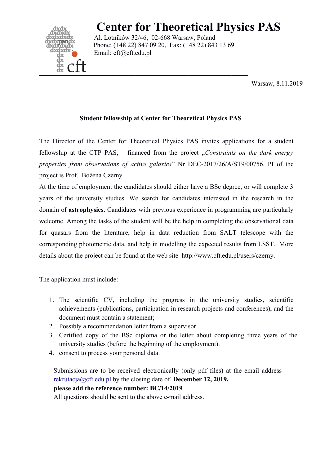

## **Center for Theoretical Physics PAS**

Al. Lotników 32/46, 02-668 Warsaw, Poland Phone: (+48 22) 847 09 20, Fax: (+48 22) 843 13 69 Email: cft@cft.edu.pl

Warsaw, 8.11.2019

## **Student fellowship at Center for Theoretical Physics PAS**

The Director of the Center for Theoretical Physics PAS invites applications for a student fellowship at the CTP PAS, financed from the project "*Constraints on the dark energy properties from observations of active galaxies*" Nr DEC-2017/26/A/ST9/00756. PI of the project is Prof. Bożena Czerny.

At the time of employment the candidates should either have a BSc degree, or will complete 3 years of the university studies. We search for candidates interested in the research in the domain of **astrophysics**. Candidates with previous experience in programming are particularly welcome. Among the tasks of the student will be the help in completing the observational data for quasars from the literature, help in data reduction from SALT telescope with the corresponding photometric data, and help in modelling the expected results from LSST. More details about the project can be found at the web site http://www.cft.edu.pl/users/czerny.

The application must include:

- 1. The scientific CV, including the progress in the university studies, scientific achievements (publications, participation in research projects and conferences), and the document must contain a statement;
- 2. Possibly a recommendation letter from a supervisor
- 3. Certified copy of the BSc diploma or the letter about completing three years of the university studies (before the beginning of the employment).
- 4. consent to process your personal data.

Submissions are to be received electronically (only pdf files) at the email address [rekrutacja@cft.edu.pl](mailto:rekrutacja@cft.edu.pl) by the closing date of **December 12, 2019. please add the reference number: BC/14/2019** All questions should be sent to the above e-mail address.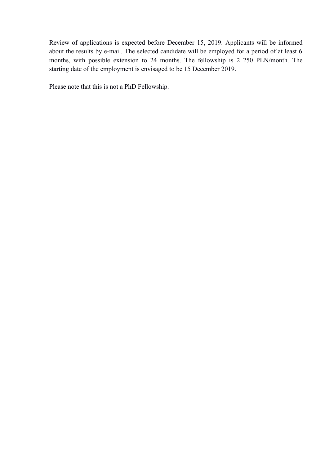Review of applications is expected before December 15, 2019. Applicants will be informed about the results by e-mail. The selected candidate will be employed for a period of at least 6 months, with possible extension to 24 months. The fellowship is 2 250 PLN/month. The starting date of the employment is envisaged to be 15 December 2019.

Please note that this is not a PhD Fellowship.